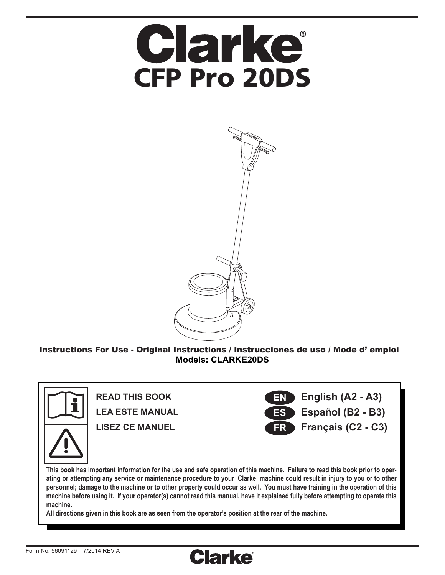



Instructions For Use - Original Instructions / Instrucciones de uso / Mode d' emploi **Models: CLARKE20DS**



**This book has important information for the use and safe operation of this machine. Failure to read this book prior to operating or attempting any service or maintenance procedure to your Clarke machine could result in injury to you or to other personnel; damage to the machine or to other property could occur as well. You must have training in the operation of this machine before using it. If your operator(s) cannot read this manual, have it explained fully before attempting to operate this machine.**

**Clarke** 

**All directions given in this book are as seen from the operator's position at the rear of the machine.**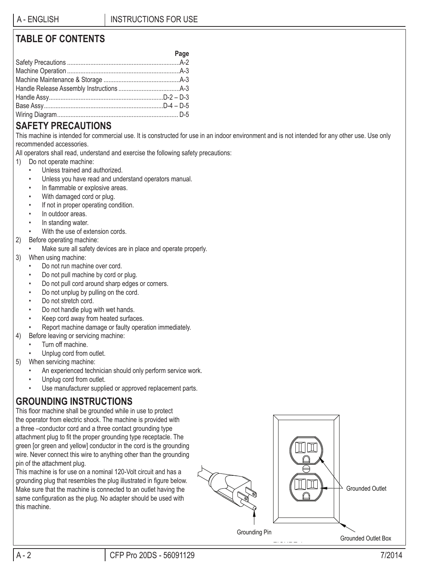# **TABLE OF CONTENTS**

| Page |
|------|
|      |
|      |
|      |
|      |
|      |
|      |
|      |

# **SAFETY PRECAUTIONS**

This machine is intended for commercial use. It is constructed for use in an indoor environment and is not intended for any other use. Use only recommended accessories.

All operators shall read, understand and exercise the following safety precautions:

- 1) Do not operate machine:
	- Unless trained and authorized.
	- Unless you have read and understand operators manual.
	- In flammable or explosive areas.
	- With damaged cord or plug.
	- If not in proper operating condition.
	- In outdoor areas.
	- In standing water.
	- With the use of extension cords.
- 2) Before operating machine:
	- Make sure all safety devices are in place and operate properly.
- 3) When using machine:
	- Do not run machine over cord.
	- Do not pull machine by cord or plug.
	- Do not pull cord around sharp edges or corners.
	- Do not unplug by pulling on the cord.
	- Do not stretch cord.
	- Do not handle plug with wet hands.
	- Keep cord away from heated surfaces.
	- Report machine damage or faulty operation immediately.
- 4) Before leaving or servicing machine:
	- Turn off machine.
	- Unplug cord from outlet.
- 5) When servicing machine:
	- An experienced technician should only perform service work.
	- Unplug cord from outlet.
	- Use manufacturer supplied or approved replacement parts.

# **GROUNDING INSTRUCTIONS**

This floor machine shall be grounded while in use to protect the operator from electric shock. The machine is provided with a three –conductor cord and a three contact grounding type attachment plug to fit the proper grounding type receptacle. The green [or green and yellow] conductor in the cord is the grounding wire. Never connect this wire to anything other than the grounding pin of the attachment plug.

This machine is for use on a nominal 120-Volt circuit and has a grounding plug that resembles the plug illustrated in figure below. Make sure that the machine is connected to an outlet having the same configuration as the plug. No adapter should be used with this machine.

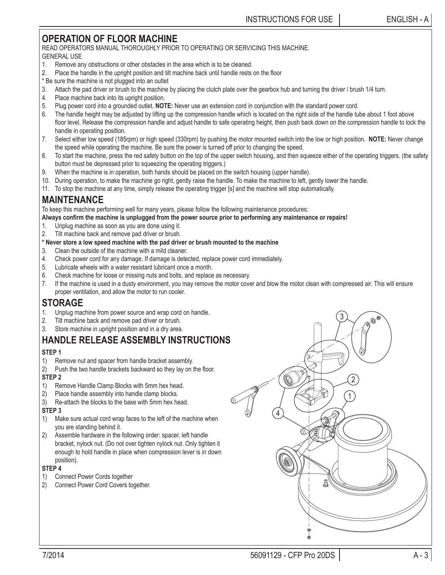# **OPERATION OF FLOOR MACHINE**

READ OPERATORS MANUAL THOROUGHLY PRIOR TO OPERATING OR SERVICING THIS MACHINE.

#### GENERAL USE

- 1. Remove any obstructions or other obstacles in the area which is to be cleaned.
- 2. Place the handle in the upright position and tilt machine back until handle rests on the floor
- \* Be sure the machine is not plugged into an outlet
- 3. Attach the pad driver or brush to the machine by placing the clutch plate over the gearbox hub and turning the driver / brush 1/4 turn.
- 4. Place machine back into its upright position.
- 5. Plug power cord into a grounded outlet. **NOTE:** Never use an extension cord in conjunction with the standard power cord.
- 6. The handle height may be adjusted by lifting up the compression handle which is located on the right side of the handle tube about 1 foot above floor level. Release the compression handle and adjust handle to safe operating height, then push back down on the compression handle to lock the handle in operating position.
- 7. Select either low speed (185rpm) or high speed (330rpm) by pushing the motor mounted switch into the low or high position. **NOTE:** Never change the speed while operating the machine. Be sure the power is turned off prior to changing the speed.
- 8. To start the machine, press the red safety button on the top of the upper switch housing, and then squeeze either of the operating triggers. (the safety button must be depressed prior to squeezing the operating triggers.)
- 9. When the machine is in operation, both hands should be placed on the switch housing (upper handle).
- 10. During operation, to make the machine go right, gently raise the handle. To make the machine to left, gently lower the handle.
- 11. To stop the machine at any time, simply release the operating trigger [s] and the machine will stop automatically.

## **MAINTENANCE**

To keep this machine performing well for many years, please follow the following maintenance procedures:

Always confirm the machine is unplugged from the power source prior to performing any maintenance or repairs!

- 1. Unplug machine as soon as you are done using it.
- 2. Tilt machine back and remove pad driver or brush.

#### **\* Never store a low speed machine with the pad driver or brush mounted to the machine**

- 3. Clean the outside of the machine with a mild cleaner.
- 4. Check power cord for any damage. If damage is detected, replace power cord immediately.
- 5. Lubricate wheels with a water resistant lubricant once a month.
- 6. Check machine for loose or missing nuts and bolts, and replace as necessary.
- 7. If the machine is used in a dusty environment, you may remove the motor cover and blow the motor clean with compressed air. This will ensure proper ventilation, and allow the motor to run cooler.

### **STORAGE**

- 1. Unplug machine from power source and wrap cord on handle.
- 2. Tilt machine back and remove pad driver or brush.
- 3. Store machine in upright position and in a dry area.

# **HANDLE RELEASE ASSEMBLY INSTRUCTIONS**

#### **STEP 1**

- 1) Remove nut and spacer from handle bracket assembly.
- 2) Push the two handle brackets backward so they lay on the floor. **STEP 2**
- 1) Remove Handle Clamp Blocks with 5mm hex head.
- 2) Place handle assembly into handle clamp blocks.
- 3) Re-attach the blocks to the base with 5mm hex head.

#### **STEP 3**

- 1) Make sure actual cord wrap faces to the left of the machine when you are standing behind it.
- 2) Assemble hardware in the following order: spacer, left handle bracket, nylock nut. (Do not over tighten nylock nut. Only tighten it enough to hold handle in place when compression lever is in down position).

#### **STEP 4**

- 1) Connect Power Cords together
- 2) Connect Power Cord Covers together.



3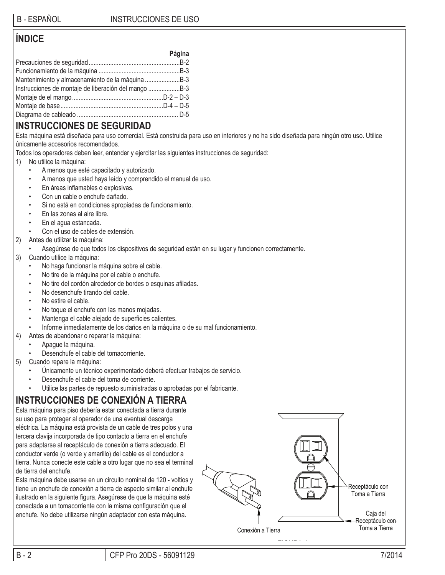# **ÍNDICE**

|                                                      | Página |
|------------------------------------------------------|--------|
|                                                      |        |
|                                                      |        |
|                                                      |        |
| Instrucciones de montaje de liberación del mango B-3 |        |
|                                                      |        |
|                                                      |        |
|                                                      |        |

# **INSTRUCCIONES DE SEGURIDAD**

Esta máquina está diseñada para uso comercial. Está construida para uso en interiores y no ha sido diseñada para ningún otro uso. Utilice únicamente accesorios recomendados.

Todos los operadores deben leer, entender y ejercitar las siguientes instrucciones de seguridad:

- 1) No utilice la máquina:
	- A menos que esté capacitado y autorizado.
	- A menos que usted haya leído y comprendido el manual de uso.
	- En áreas inflamables o explosivas.
	- Con un cable o enchufe dañado.
	- Si no está en condiciones apropiadas de funcionamiento.
	- En las zonas al aire libre.
	- En el agua estancada.
	- Con el uso de cables de extensión.
- 2) Antes de utilizar la máquina:
	- Asegúrese de que todos los dispositivos de seguridad están en su lugar y funcionen correctamente.
- 3) Cuando utilice la máquina:
	- No haga funcionar la máquina sobre el cable.
	- No tire de la máquina por el cable o enchufe.
	- No tire del cordón alrededor de bordes o esquinas afiladas.
	- No desenchufe tirando del cable.
	- No estire el cable.
	- No toque el enchufe con las manos mojadas.
	- Mantenga el cable alejado de superficies calientes.
	- Informe inmediatamente de los daños en la máquina o de su mal funcionamiento.
- 4) Antes de abandonar o reparar la máquina:
	- Apague la máquina.
	- Desenchufe el cable del tomacorriente.
- 5) Cuando repare la máquina:
	- Únicamente un técnico experimentado deberá efectuar trabajos de servicio.
	- Desenchufe el cable del toma de corriente.
	- Utilice las partes de repuesto suministradas o aprobadas por el fabricante.

# **INSTRUCCIONES DE CONEXIÓN A TIERRA**

Esta máquina para piso debería estar conectada a tierra durante su uso para proteger al operador de una eventual descarga eléctrica. La máquina está provista de un cable de tres polos y una tercera clavija incorporada de tipo contacto a tierra en el enchufe para adaptarse al receptáculo de conexión a tierra adecuado. El conductor verde (o verde y amarillo) del cable es el conductor a tierra. Nunca conecte este cable a otro lugar que no sea el terminal de tierra del enchufe.

Esta máquina debe usarse en un circuito nominal de 120 - voltios y tiene un enchufe de conexión a tierra de aspecto similar al enchufe ilustrado en la siguiente figura. Asegúrese de que la máquina esté conectada a un tomacorriente con la misma configuración que el enchufe. No debe utilizarse ningún adaptador con esta máquina.

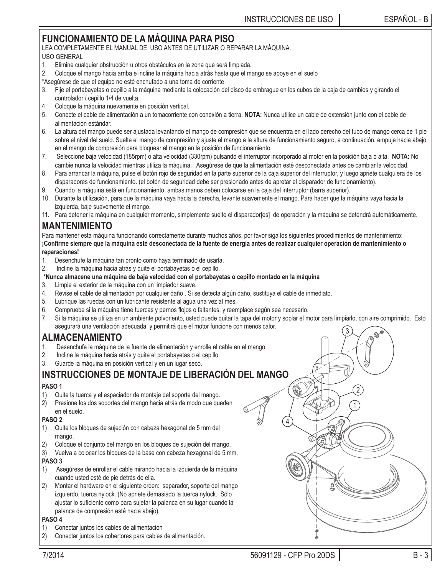# **FUNCIONAMIENTO DE LA MÁQUINA PARA PISO**

LEA COMPLETAMENTE EL MANUAL DE USO ANTES DE UTILIZAR O REPARAR LA MÁQUINA.

#### USO GENERAL

- 1. Elimine cualquier obstrucción u otros obstáculos en la zona que será limpiada.
- 2. Coloque el mango hacia arriba e incline la máquina hacia atrás hasta que el mango se apoye en el suelo
- \*Asegúrese de que el equipo no esté enchufado a una toma de corriente
- 3. Fije el portabayetas o cepillo a la máquina mediante la colocación del disco de embrague en los cubos de la caja de cambios y girando el controlador / cepillo 1/4 de vuelta.
- 4. Coloque la máquina nuevamente en posición vertical.
- 5. Conecte el cable de alimentación a un tomacorriente con conexión a tierra. **NOTA:** Nunca utilice un cable de extensión junto con el cable de alimentación estándar.
- 6. La altura del mango puede ser ajustada levantando el mango de compresión que se encuentra en el lado derecho del tubo de mango cerca de 1 pie sobre el nivel del suelo. Suelte el mango de compresión y ajuste el mango a la altura de funcionamiento seguro, a continuación, empuje hacia abajo en el mango de compresión para bloquear el mango en la posición de funcionamiento.
- 7. Seleccione baja velocidad (185rpm) o alta velocidad (330rpm) pulsando el interruptor incorporado al motor en la posición baja o alta. **NOTA:** No cambie nunca la velocidad mientras utiliza la máquina. Asegúrese de que la alimentación esté desconectada antes de cambiar la velocidad.
- 8. Para arrancar la máquina, pulse el botón rojo de seguridad en la parte superior de la caja superior del interruptor, y luego apriete cualquiera de los disparadores de funcionamiento. (el botón de seguridad debe ser presionado antes de apretar el disparador de funcionamiento).
- 9. Cuando la máquina está en funcionamiento, ambas manos deben colocarse en la caja del interruptor (barra superior).
- 10. Durante la utilización, para que la máquina vaya hacia la derecha, levante suavemente el mango. Para hacer que la máquina vaya hacia la izquierda, baje suavemente el mango.
- 11. Para detener la máquina en cualquier momento, simplemente suelte el disparador[es] de operación y la máquina se detendrá automáticamente.

#### **MANTENIMIENTO**

Para mantener esta máquina funcionando correctamente durante muchos años, por favor siga los siguientes procedimientos de mantenimiento: ¡Confirme siempre que la máquina esté desconectada de la fuente de energía antes de realizar cualquier operación de mantenimiento o **reparaciones!**

- 1. Desenchufe la máquina tan pronto como haya terminado de usarla.
- 2. Incline la máquina hacia atrás y quite el portabayetas o el cepillo.

#### **\*Nunca almacene una máquina de baja velocidad con el portabayetas o cepillo montado en la máquina**

- 3. Limpie el exterior de la máquina con un limpiador suave.
- 4. Revise el cable de alimentación por cualquier daño . Si se detecta algún daño, sustituya el cable de inmediato.
- 5. Lubrique las ruedas con un lubricante resistente al agua una vez al mes.
- 6. Compruebe si la máquina tiene tuercas y pernos flojos o faltantes, y reemplace según sea necesario.
- 7. Si la máquina se utiliza en un ambiente polvoriento, usted puede quitar la tapa del motor y soplar el motor para limpiarlo, con aire comprimido. Esto asegurará una ventilación adecuada, y permitirá que el motor funcione con menos calor. 3

### **ALMACENAMIENTO**

- 1. Desenchufe la máquina de la fuente de alimentación y enrolle el cable en el mango.
- 2. Incline la máquina hacia atrás y quite el portabayetas o el cepillo.
- 3. Guarde la máquina en posición vertical y en un lugar seco.

### **INSTRUCCIONES DE MONTAJE DE LIBERACIÓN DEL MANGO**

#### **PASO 1**

- 1) Quite la tuerca y el espaciador de montaje del soporte del mango.
- 2) Presione los dos soportes del mango hacia atrás de modo que queden en el suelo.

#### **PASO 2**

- 1) Quite los bloques de sujeción con cabeza hexagonal de 5 mm del mango.
- 2) Coloque el conjunto del mango en los bloques de sujeción del mango.
- 3) Vuelva a colocar los bloques de la base con cabeza hexagonal de 5 mm. **PASO 3**

- 1) Asegúrese de enrollar el cable mirando hacia la izquierda de la máquina cuando usted esté de pie detrás de ella.
- 2) Montar el hardware en el siguiente orden: separador, soporte del mango izquierdo, tuerca nylock. (No apriete demasiado la tuerca nylock. Sólo ajustar lo suficiente como para sujetar la palanca en su lugar cuando la palanca de compresión esté hacia abajo).

#### **PASO 4**

- 1) Conectar juntos los cables de alimentación
- 2) Conectar juntos los cobertores para cables de alimentación.

4

1

2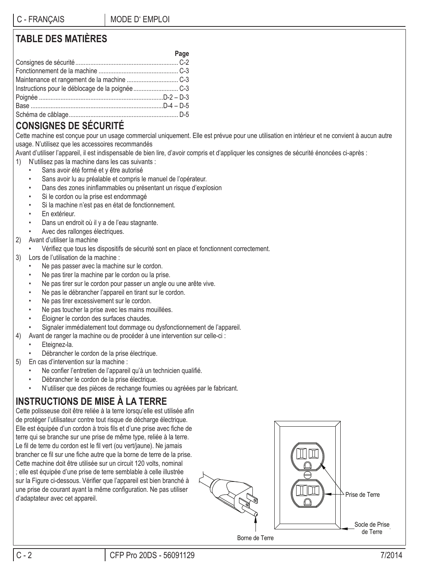# **TABLE DES MATIÈRES**

|                                                                                                                | Page |
|----------------------------------------------------------------------------------------------------------------|------|
|                                                                                                                |      |
|                                                                                                                |      |
|                                                                                                                |      |
|                                                                                                                |      |
|                                                                                                                |      |
|                                                                                                                |      |
|                                                                                                                |      |
| 그 사람들은 그 사람들은 그 사람들은 그 사람들을 지르면 아니라 아이들이 아니라 아이들이 아니라 아이들이 아니라 아이들이 아니라 아이들이 아니라 아이들이 아니라 아이들이 아니라 아이들이 아니라 아이 |      |

# **CONSIGNES DE SÉCURITÉ**

Cette machine est conçue pour un usage commercial uniquement. Elle est prévue pour une utilisation en intérieur et ne convient à aucun autre usage. N'utilisez que les accessoires recommandés

Avant d'utiliser l'appareil, il est indispensable de bien lire, d'avoir compris et d'appliquer les consignes de sécurité énoncées ci-après :

- 1) N'utilisez pas la machine dans les cas suivants :
	- Sans avoir été formé et y être autorisé
	- Sans avoir lu au préalable et compris le manuel de l'opérateur.
	- Dans des zones ininflammables ou présentant un risque d'explosion
	- Si le cordon ou la prise est endommagé
	- Si la machine n'est pas en état de fonctionnement.
	- En extérieur.
	- Dans un endroit où il y a de l'eau stagnante.
	- Avec des rallonges électriques.
- 2) Avant d'utiliser la machine
	- Vérifiez que tous les dispositifs de sécurité sont en place et fonctionnent correctement.
- 3) Lors de l'utilisation de la machine :
	- Ne pas passer avec la machine sur le cordon.
	- Ne pas tirer la machine par le cordon ou la prise.
	- Ne pas tirer sur le cordon pour passer un angle ou une arête vive.
	- Ne pas le débrancher l'appareil en tirant sur le cordon.
	- Ne pas tirer excessivement sur le cordon.
	- Ne pas toucher la prise avec les mains mouillées.
	- Éloigner le cordon des surfaces chaudes.
	- Signaler immédiatement tout dommage ou dysfonctionnement de l'appareil.
- 4) Avant de ranger la machine ou de procéder à une intervention sur celle-ci :
	- Eteignez-la.
	- Débrancher le cordon de la prise électrique.
- 5) En cas d'intervention sur la machine :
	- Ne confier l'entretien de l'appareil qu'à un technicien qualifié.
	- Débrancher le cordon de la prise électrique.
	- N'utiliser que des pièces de rechange fournies ou agréées par le fabricant.

# **INSTRUCTIONS DE MISE À LA TERRE**

Cette polisseuse doit être reliée à la terre lorsqu'elle est utilisée afin de protéger l'utilisateur contre tout risque de décharge électrique. Elle est équipée d'un cordon à trois fils et d'une prise avec fiche de terre qui se branche sur une prise de même type, reliée à la terre. Le fil de terre du cordon est le fil vert (ou vert/jaune). Ne jamais brancher ce fil sur une fiche autre que la borne de terre de la prise. Cette machine doit être utilisée sur un circuit 120 volts, nominal ; elle est équipée d'une prise de terre semblable à celle illustrée sur la Figure ci-dessous. Vérifier que l'appareil est bien branché à une prise de courant ayant la même configuration. Ne pas utiliser d'adaptateur avec cet appareil.



Borne de Terre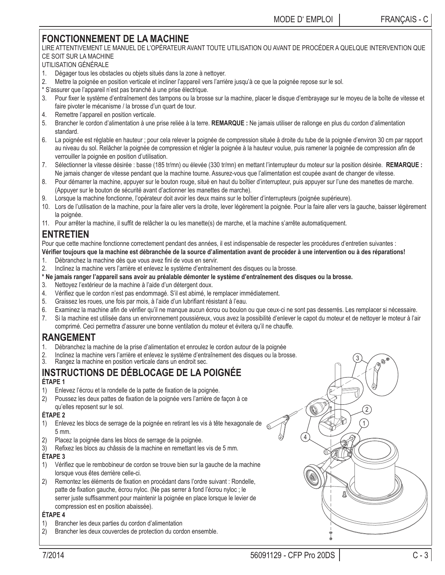## **FONCTIONNEMENT DE LA MACHINE**

#### LIRE ATTENTIVEMENT LE MANUEL DE L'OPÉRATEUR AVANT TOUTE UTILISATION OU AVANT DE PROCÉDER A QUELQUE INTERVENTION QUE CE SOIT SUR LA MACHINE

#### UTILISATION GÉNÉRALE

- 1. Dégager tous les obstacles ou objets situés dans la zone à nettoyer.
- 2. Mettre la poignée en position verticale et incliner l'appareil vers l'arrière jusqu'à ce que la poignée repose sur le sol.
- \* S'assurer que l'appareil n'est pas branché à une prise électrique.
- 3. Pour fi xer le système d'entraînement des tampons ou la brosse sur la machine, placer le disque d'embrayage sur le moyeu de la boîte de vitesse et faire pivoter le mécanisme / la brosse d'un quart de tour.
- 4. Remettre l'appareil en position verticale.
- 5. Brancher le cordon d'alimentation à une prise reliée à la terre. **REMARQUE :** Ne jamais utiliser de rallonge en plus du cordon d'alimentation standard.
- 6. La poignée est réglable en hauteur ; pour cela relever la poignée de compression située à droite du tube de la poignée d'environ 30 cm par rapport au niveau du sol. Relâcher la poignée de compression et régler la poignée à la hauteur voulue, puis ramener la poignée de compression afin de verrouiller la poignée en position d'utilisation.
- 7. Sélectionner la vitesse désirée : basse (185 tr/mn) ou élevée (330 tr/mn) en mettant l'interrupteur du moteur sur la position désirée. **REMARQUE :** Ne jamais changer de vitesse pendant que la machine tourne. Assurez-vous que l'alimentation est coupée avant de changer de vitesse.
- 8. Pour démarrer la machine, appuyer sur le bouton rouge, situé en haut du boîtier d'interrupteur, puis appuyer sur l'une des manettes de marche. (Appuyer sur le bouton de sécurité avant d'actionner les manettes de marche).
- 9. Lorsque la machine fonctionne, l'opérateur doit avoir les deux mains sur le boîtier d'interrupteurs (poignée supérieure).
- 10. Lors de l'utilisation de la machine, pour la faire aller vers la droite, lever légèrement la poignée. Pour la faire aller vers la gauche, baisser légèrement la poignée.
- 11. Pour arrêter la machine, il suffit de relâcher la ou les manette(s) de marche, et la machine s'arrête automatiquement.

# **ENTRETIEN**

Pour que cette machine fonctionne correctement pendant des années, il est indispensable de respecter les procédures d'entretien suivantes :

- Vérifier toujours que la machine est débranchée de la source d'alimentation avant de procéder à une intervention ou à des réparations! 1. Débranchez la machine dès que vous avez fini de vous en servir.
- 2. Inclinez la machine vers l'arrière et enlevez le système d'entraînement des disques ou la brosse.
- **\* Ne jamais ranger l'appareil sans avoir au préalable démonter le système d'entraînement des disques ou la brosse.**
- 3. Nettoyez l'extérieur de la machine à l'aide d'un détergent doux.
- 4. Vérifiez que le cordon n'est pas endommagé. S'il est abimé, le remplacer immédiatement.
- 5. Graissez les roues, une fois par mois, à l'aide d'un lubrifiant résistant à l'eau.
- 6. Examinez la machine afin de vérifier qu'il ne manque aucun écrou ou boulon ou que ceux-ci ne sont pas desserrés. Les remplacer si nécessaire.
- 7. Si la machine est utilisée dans un environnement poussiéreux, vous avez la possibilité d'enlever le capot du moteur et de nettoyer le moteur à l'air comprimé. Ceci permettra d'assurer une bonne ventilation du moteur et évitera qu'il ne chauffe.

### **RANGEMENT**

- 1. Débranchez la machine de la prise d'alimentation et enroulez le cordon autour de la poignée
- 2. Inclinez la machine vers l'arrière et enlevez le système d'entraînement des disques ou la brosse.<br>3. Rangez la machine en position verticale dans un endroit sec.
- Rangez la machine en position verticale dans un endroit sec.

# **INSTRUCTIONS DE DÉBLOCAGE DE LA POIGNÉE**

#### **ÉTAPE 1**

- 1) Enlevez l'écrou et la rondelle de la patte de fixation de la poignée.
- 2) Poussez les deux pattes de fixation de la poignée vers l'arrière de façon à ce qu'elles reposent sur le sol.

#### **ÉTAPE 2**

- 1) Enlevez les blocs de serrage de la poignée en retirant les vis à tête hexagonale de 5 mm.
- 2) Placez la poignée dans les blocs de serrage de la poignée.
- 3) Refixez les blocs au châssis de la machine en remettant les vis de 5 mm.

#### **ÉTAPE 3**

- 1) Vérifiez que le rembobineur de cordon se trouve bien sur la gauche de la machine lorsque vous êtes derrière celle-ci.
- 2) Remontez les éléments de fixation en procédant dans l'ordre suivant : Rondelle, patte de fixation gauche, écrou nyloc. (Ne pas serrer à fond l'écrou nyloc ; le serrer juste suffisamment pour maintenir la poignée en place lorsque le levier de compression est en position abaissée).

#### **ÉTAPE 4**

- 1) Brancher les deux parties du cordon d'alimentation
- 2) Brancher les deux couvercles de protection du cordon ensemble.

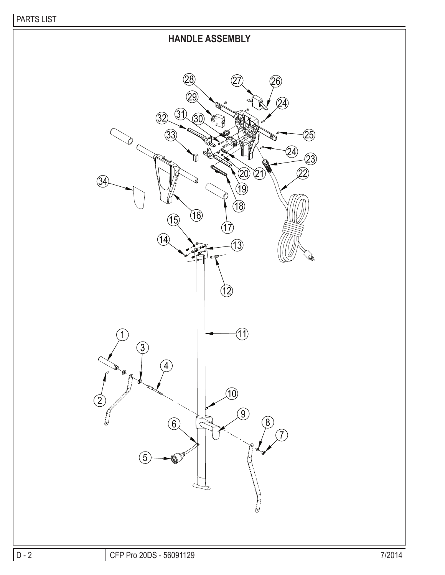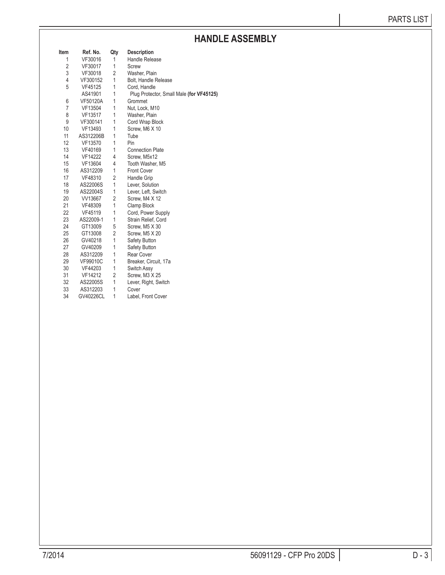# **HANDLE ASSEMBLY**

| Item | Ref. No.  | Qty                     | <b>Description</b>                       |
|------|-----------|-------------------------|------------------------------------------|
| 1    | VF30016   | 1                       | Handle Release                           |
| 2    | VF30017   | 1                       | Screw                                    |
| 3    | VF30018   | 2                       | Washer, Plain                            |
| 4    | VF300152  | 1                       | Bolt, Handle Release                     |
| 5    | VF45125   | 1                       | Cord, Handle                             |
|      | AS41901   | 1                       | Plug Protector, Small Male (for VF45125) |
| 6    | VF50120A  | 1                       | Grommet                                  |
| 7    | VF13504   | 1                       | Nut, Lock, M10                           |
| 8    | VF13517   | 1                       | Washer, Plain                            |
| 9    | VF300141  | 1                       | Cord Wrap Block                          |
| 10   | VF13493   | 1                       | Screw, M6 X 10                           |
| 11   | AS312206B | 1                       | Tube                                     |
| 12   | VF13570   | 1                       | Pin                                      |
| 13   | VF40169   | 1                       | <b>Connection Plate</b>                  |
| 14   | VF14222   | 4                       | Screw, M5x12                             |
| 15   | VF13604   | 4                       | Tooth Washer, M5                         |
| 16   | AS312209  | 1                       | <b>Front Cover</b>                       |
| 17   | VF48310   | $\overline{\mathbf{c}}$ | Handle Grip                              |
| 18   | AS22006S  | 1                       | Lever, Solution                          |
| 19   | AS22004S  | 1                       | Lever, Left, Switch                      |
| 20   | VV13667   | 2                       | Screw, M4 X 12                           |
| 21   | VF48309   | 1                       | Clamp Block                              |
| 22   | VF45119   | 1                       | Cord, Power Supply                       |
| 23   | AS22009-1 | 1                       | Strain Relief, Cord                      |
| 24   | GT13009   | 5                       | Screw, M5 X 30                           |
| 25   | GT13008   | 2                       | Screw, M5 X 20                           |
| 26   | GV40218   | 1                       | Safety Button                            |
| 27   | GV40209   | 1                       | <b>Safety Button</b>                     |
| 28   | AS312209  | 1                       | <b>Rear Cover</b>                        |
| 29   | VF99010C  | 1                       | Breaker, Circuit, 17a                    |
| 30   | VF44203   | 1                       | Switch Assy                              |
| 31   | VF14212   | 2                       | Screw, M3 X 25                           |
| 32   | AS22005S  | 1                       | Lever, Right, Switch                     |
| 33   | AS312203  | 1                       | Cover                                    |
| 34   | GV40226CL | 1                       | Label, Front Cover                       |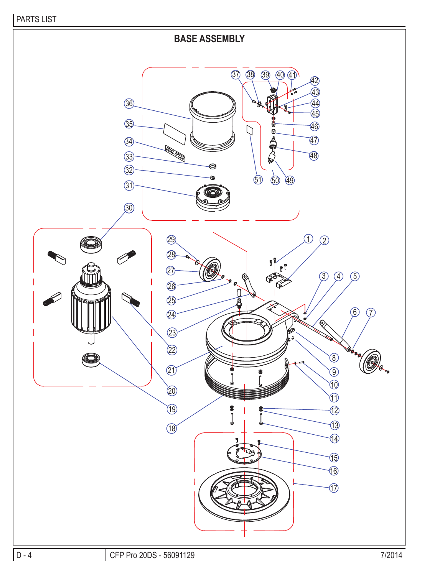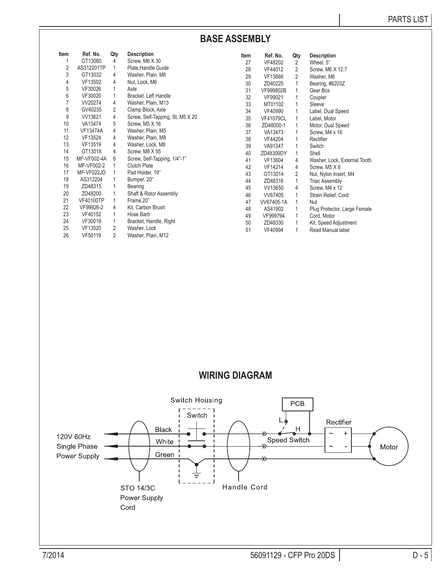# **BASE ASSEMBLY**

| Item           | Ref. No.         | Qty            | <b>Description</b>               | Item | Ref. No.         | Qty            | <b>Description</b>           |
|----------------|------------------|----------------|----------------------------------|------|------------------|----------------|------------------------------|
|                | GT13080          | 4              | Screw, M6 X 30                   | 27   | VF48202          | 2              | Wheel, 5"                    |
| $\overline{c}$ | AS312201TP       | 1              | Plate, Handle Guide              | 28   | VF44012          | 2              | Screw, M6 X 12.7             |
| 3              | GT13032          | 4              | Washer, Plain, M6                | 29   | VF13666          | $\overline{2}$ | Washer, M6                   |
| 4              | VF13502          | 4              | Nut, Lock, M6                    | 30   | ZD40225          |                | Bearing, #6203Z              |
| 5              | VF30026          | 1              | Axle                             | 31   | VF999802B        |                | Gear Box                     |
| 6              | VF30020          |                | Bracket, Left Handle             | 32   | VF99021          |                | Coupler                      |
| 7              | VV20274          | 4              | Washer, Plain, M13               | 33   | MT01102          |                | Sleeve                       |
| 8              | GV40235          | $\overline{2}$ | Clamp Block, Axle                | 34   | VF40990          |                | Label, Dual Speed            |
| 9              | VV13621          | 4              | Screw, Self-Tapping, St, M5 X 20 | 35   | <b>VF41079CL</b> |                | Label, Motor                 |
| 10             | VA13474          | 5              | Screw, M5 X 16                   | 36   | ZD48000-1        |                | Motor, Dual Speed            |
| 11             | <b>VF13474A</b>  | 4              | Washer, Plain, M5                | 37   | VA13473          |                | Screw, M4 x 16               |
| 12             | VF13524          | 4              | Washer, Plain, M8                | 38   | VF44204          |                | Rectifier                    |
| 13             | VF13519          | 4              | Washer, Lock, M8                 | 39   | VA91347          |                | Switch                       |
| 14             | GT13018          | 4              | Screw, M8 X 55                   | 40   | ZD48309DY        | 1              | Shell                        |
| 15             | MF-VF002-4A      | 6              | Screw, Self-Tapping, 1/4"-1"     | 41   | VF13604          | 4              | Washer, Lock, External Tooth |
| 16             | MF-VF002-2       |                | <b>Clutch Plate</b>              | 42   | VF14214          | 4              | Screw, M5 X 8                |
| 17             | MF-VF022JD       |                | Pad Holder, 19"                  | 43   | GT13014          | 2              | Nut, Nylon Insert, M4        |
| 18             | AS312204         |                | Bumper, 20"                      | 44   | ZD48316          |                | <b>Triac Assembly</b>        |
| 19             | ZD48315          |                | Bearing                          | 45   | VV13650          | 4              | Screw, M4 x 12               |
| 20             | ZD48200          | 1              | Shaft & Rotor Assembly           | 46   | VV67405          | 1              | Strain Relief, Cord          |
| 21             | <b>VF40100TP</b> | 1              | Frame.20"                        | 47   | VV67405-1A       | 1              | Nut                          |
| 22             | VF99926-2        | 4              | Kit, Carbon Brush                | 48   | AS41902          |                | Plug Protector, Large Female |
| 23             | VF40152          |                | Hose Barb                        | 49   | VF999794         |                | Cord, Motor                  |
| 24             | VF30019          |                | Bracket, Handle, Right           | 50   | ZD48330          |                | Kit, Speed Adjustment        |
| 25             | VF13520          | 2              | Washer, Lock                     | 51   | VF40994          |                | Read Manual label            |
| 26             | VF50119          | $\overline{2}$ | Washer, Plain, M12               |      |                  |                |                              |